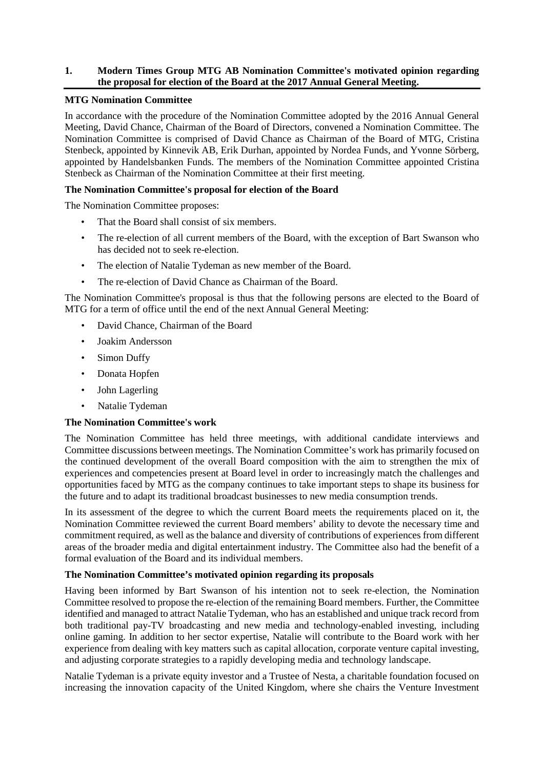## **1. Modern Times Group MTG AB Nomination Committee's motivated opinion regarding the proposal for election of the Board at the 2017 Annual General Meeting.**

## **MTG Nomination Committee**

In accordance with the procedure of the Nomination Committee adopted by the 2016 Annual General Meeting, David Chance, Chairman of the Board of Directors, convened a Nomination Committee. The Nomination Committee is comprised of David Chance as Chairman of the Board of MTG, Cristina Stenbeck, appointed by Kinnevik AB, Erik Durhan, appointed by Nordea Funds, and Yvonne Sörberg, appointed by Handelsbanken Funds. The members of the Nomination Committee appointed Cristina Stenbeck as Chairman of the Nomination Committee at their first meeting.

### **The Nomination Committee's proposal for election of the Board**

The Nomination Committee proposes:

- That the Board shall consist of six members.
- The re-election of all current members of the Board, with the exception of Bart Swanson who has decided not to seek re-election.
- The election of Natalie Tydeman as new member of the Board.
- The re-election of David Chance as Chairman of the Board.

The Nomination Committee's proposal is thus that the following persons are elected to the Board of MTG for a term of office until the end of the next Annual General Meeting:

- David Chance, Chairman of the Board
- Joakim Andersson
- Simon Duffy
- Donata Hopfen
- John Lagerling
- Natalie Tydeman

# **The Nomination Committee's work**

The Nomination Committee has held three meetings, with additional candidate interviews and Committee discussions between meetings. The Nomination Committee's work has primarily focused on the continued development of the overall Board composition with the aim to strengthen the mix of experiences and competencies present at Board level in order to increasingly match the challenges and opportunities faced by MTG as the company continues to take important steps to shape its business for the future and to adapt its traditional broadcast businesses to new media consumption trends.

In its assessment of the degree to which the current Board meets the requirements placed on it, the Nomination Committee reviewed the current Board members' ability to devote the necessary time and commitment required, as well as the balance and diversity of contributions of experiences from different areas of the broader media and digital entertainment industry. The Committee also had the benefit of a formal evaluation of the Board and its individual members.

### **The Nomination Committee's motivated opinion regarding its proposals**

Having been informed by Bart Swanson of his intention not to seek re-election, the Nomination Committee resolved to propose the re-election of the remaining Board members. Further, the Committee identified and managed to attract Natalie Tydeman, who has an established and unique track record from both traditional pay-TV broadcasting and new media and technology-enabled investing, including online gaming. In addition to her sector expertise, Natalie will contribute to the Board work with her experience from dealing with key matters such as capital allocation, corporate venture capital investing, and adjusting corporate strategies to a rapidly developing media and technology landscape.

Natalie Tydeman is a private equity investor and a Trustee of Nesta, a charitable foundation focused on increasing the innovation capacity of the United Kingdom, where she chairs the Venture Investment